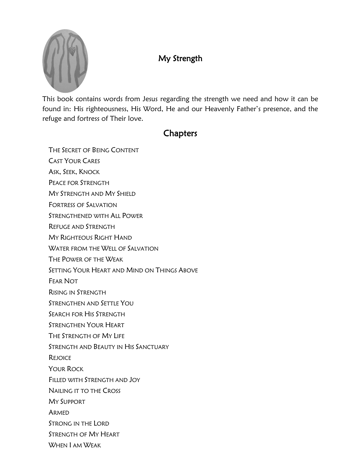

## My Strength

This book contains words from Jesus regarding the strength we need and how it can be found in: His righteousness, His Word, He and our Heavenly Father's presence, and the refuge and fortress of Their love.

### **Chapters**

THE SECRET OF BEING CONTENT

- CAST YOUR CARES
- ASK, SEEK, KNOCK
- PEACE FOR STRENGTH
- MY STRENGTH AND MY SHIELD
- FORTRESS OF SALVATION
- STRENGTHENED WITH ALL POWER
- REFUGE AND STRENGTH
- MY RIGHTEOUS RIGHT HAND
- WATER FROM THE WELL OF SALVATION
- THE POWER OF THE WEAK
- SETTING YOUR HEART AND MIND ON THINGS ABOVE
- FEAR NOT
- RISING IN STRENGTH
- STRENGTHEN AND SETTLE YOU
- SEARCH FOR HIS STRENGTH
- STRENGTHEN YOUR HEART
- THE STRENGTH OF MY LIFE
- STRENGTH AND BEAUTY IN HIS SANCTUARY
- **REJOICE**
- YOUR ROCK
- FILLED WITH STRENGTH AND JOY
- NAILING IT TO THE CROSS
- MY SUPPORT
- ARMED
- STRONG IN THE LORD
- STRENGTH OF MY HEART
- WHEN I AM WEAK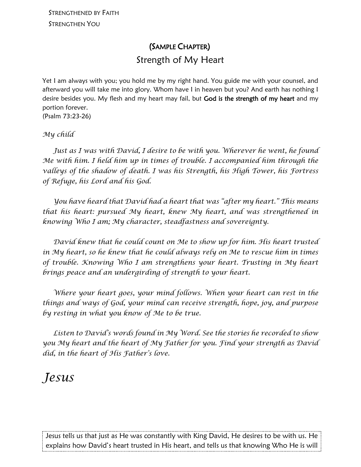## (SAMPLE CHAPTER) Strength of My Heart

Yet I am always with you; you hold me by my right hand. You guide me with your counsel, and afterward you will take me into glory. Whom have I in heaven but you? And earth has nothing I desire besides you. My flesh and my heart may fail, but God is the strength of my heart and my portion forever. (Psalm 73:23-26)

#### *My child*

 *Just as I was with David, I desire to be with you. Wherever he went, he found Me with him. I held him up in times of trouble. I accompanied him through the valleys of the shadow of death. I was his Strength, his High Tower, his Fortress of Refuge, his Lord and his God.*

 *You have heard that David had a heart that was "after my heart." This means that his heart: pursued My heart, knew My heart, and was strengthened in knowing Who I am; My character, steadfastness and sovereignty.* 

 *David knew that he could count on Me to show up for him. His heart trusted in My heart, so he knew that he could always rely on Me to rescue him in times of trouble. Knowing Who I am strengthens your heart. Trusting in My heart brings peace and an undergirding of strength to your heart.*

 *Where your heart goes, your mind follows. When your heart can rest in the things and ways of God, your mind can receive strength, hope, joy, and purpose by resting in what you know of Me to be true.* 

 *Listen to David's words found in My Word. See the stories he recorded to show you My heart and the heart of My Father for you. Find your strength as David did, in the heart of His Father's love.*

# *Jesus*

Jesus tells us that just as He was constantly with King David, He desires to be with us. He explains how David's heart trusted in His heart, and tells us that knowing Who He is will